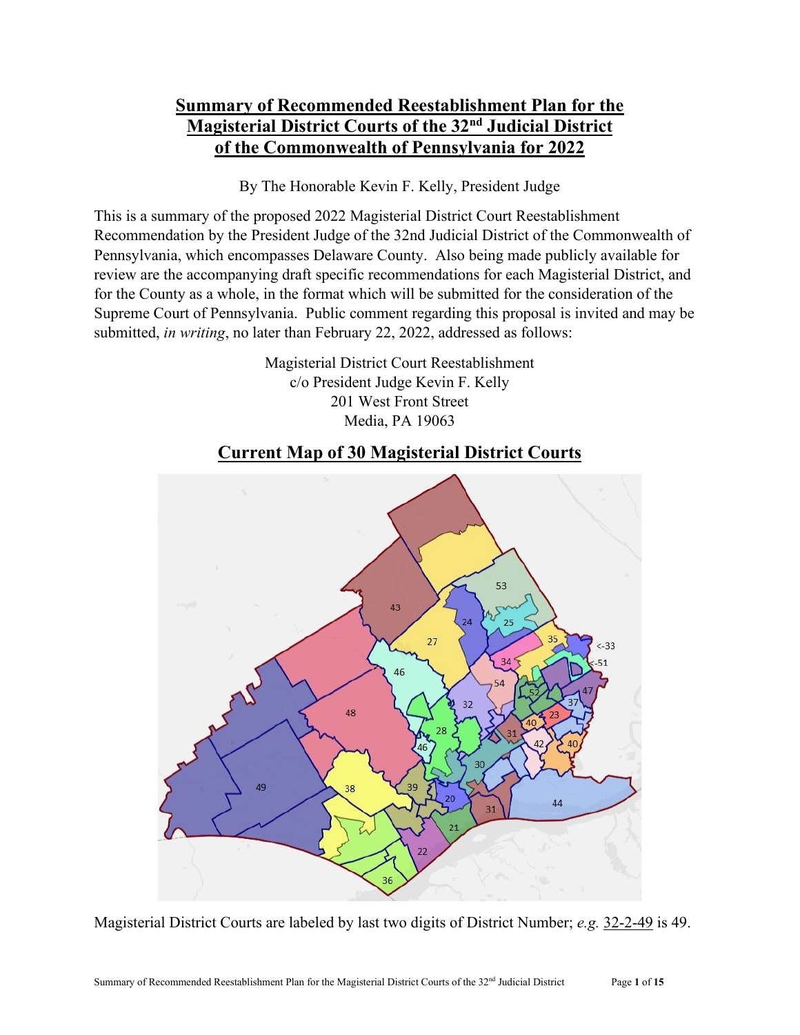# **Summary of Recommended Reestablishment Plan for the Magisterial District Courts of the 32nd Judicial District of the Commonwealth of Pennsylvania for 2022**

By The Honorable Kevin F. Kelly, President Judge

This is a summary of the proposed 2022 Magisterial District Court Reestablishment Recommendation by the President Judge of the 32nd Judicial District of the Commonwealth of Pennsylvania, which encompasses Delaware County. Also being made publicly available for review are the accompanying draft specific recommendations for each Magisterial District, and for the County as a whole, in the format which will be submitted for the consideration of the Supreme Court of Pennsylvania. Public comment regarding this proposal is invited and may be submitted, *in writing*, no later than February 22, 2022, addressed as follows:

> Magisterial District Court Reestablishment c/o President Judge Kevin F. Kelly 201 West Front Street Media, PA 19063

# **Current Map of 30 Magisterial District Courts**



Magisterial District Courts are labeled by last two digits of District Number; *e.g.* 32-2-49 is 49.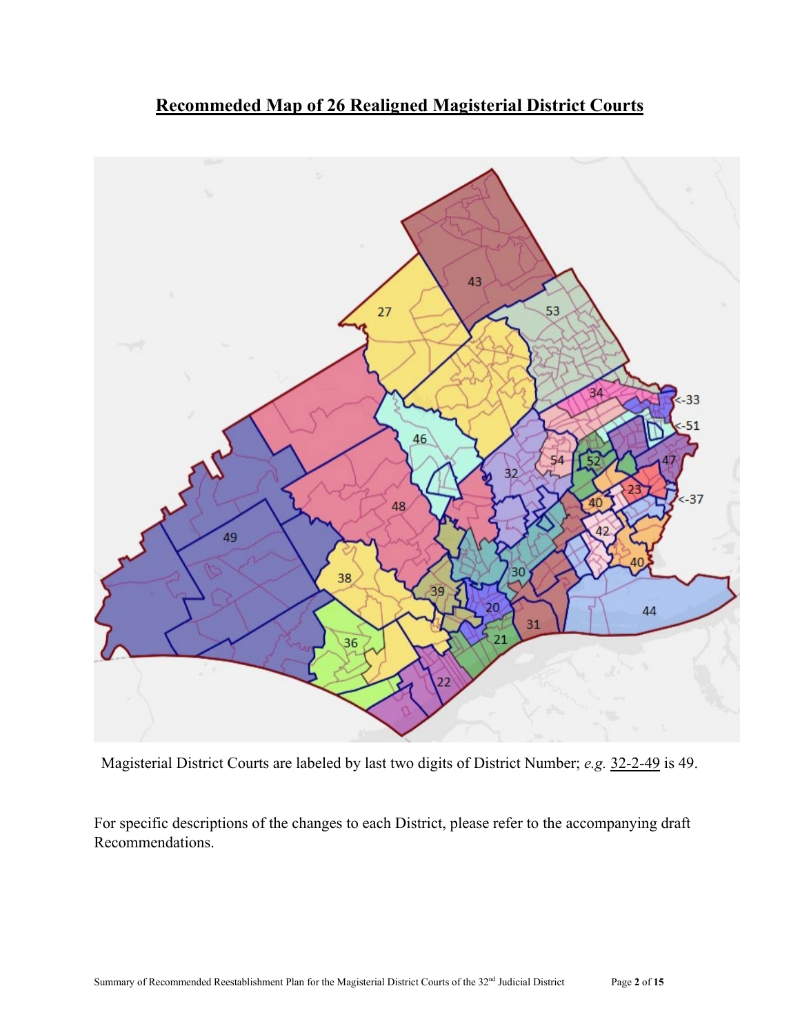



Magisterial District Courts are labeled by last two digits of District Number; *e.g.* 32-2-49 is 49.

For specific descriptions of the changes to each District, please refer to the accompanying draft Recommendations.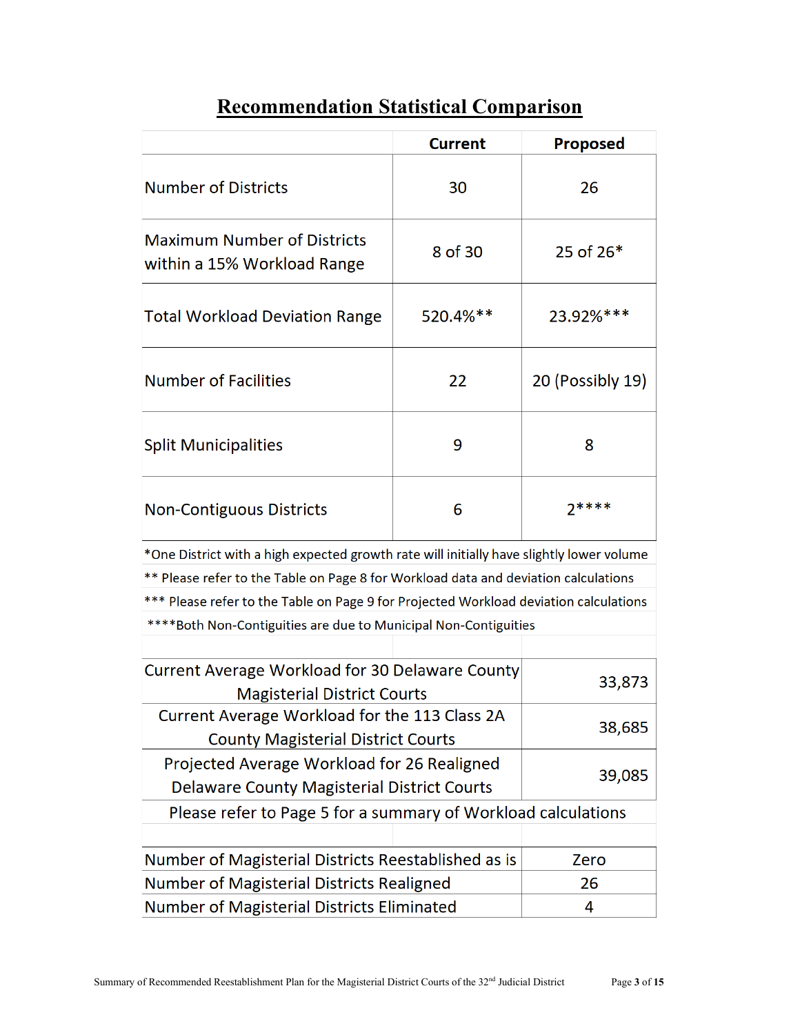# **Recommendation Statistical Comparison**

|                                                                                              | <b>Current</b>   | <b>Proposed</b> |  |  |  |  |
|----------------------------------------------------------------------------------------------|------------------|-----------------|--|--|--|--|
| <b>Number of Districts</b>                                                                   | 30               | 26              |  |  |  |  |
| <b>Maximum Number of Districts</b><br>within a 15% Workload Range                            | 8 of 30          | 25 of $26*$     |  |  |  |  |
| <b>Total Workload Deviation Range</b>                                                        | $520.4%$ **      | 23.92%***       |  |  |  |  |
| <b>Number of Facilities</b>                                                                  | 20 (Possibly 19) |                 |  |  |  |  |
| <b>Split Municipalities</b>                                                                  | 8                |                 |  |  |  |  |
| <b>Non-Contiguous Districts</b>                                                              | 6                | $7***$          |  |  |  |  |
| *One District with a high expected growth rate will initially have slightly lower volume     |                  |                 |  |  |  |  |
| ** Please refer to the Table on Page 8 for Workload data and deviation calculations          |                  |                 |  |  |  |  |
| *** Please refer to the Table on Page 9 for Projected Workload deviation calculations        |                  |                 |  |  |  |  |
| ****Both Non-Contiguities are due to Municipal Non-Contiguities                              |                  |                 |  |  |  |  |
|                                                                                              |                  |                 |  |  |  |  |
| <b>Current Average Workload for 30 Delaware County</b><br><b>Magisterial District Courts</b> | 33,873           |                 |  |  |  |  |
| Current Average Workload for the 113 Class 2A<br><b>County Magisterial District Courts</b>   | 38,685           |                 |  |  |  |  |
| Projected Average Workload for 26 Realigned                                                  | 39,085           |                 |  |  |  |  |
| <b>Delaware County Magisterial District Courts</b>                                           |                  |                 |  |  |  |  |
| Please refer to Page 5 for a summary of Workload calculations                                |                  |                 |  |  |  |  |
| Number of Magisterial Districts Reestablished as is                                          |                  | Zero            |  |  |  |  |
| Number of Magisterial Districts Realigned                                                    | 26               |                 |  |  |  |  |
| Number of Magisterial Districts Eliminated                                                   | 4                |                 |  |  |  |  |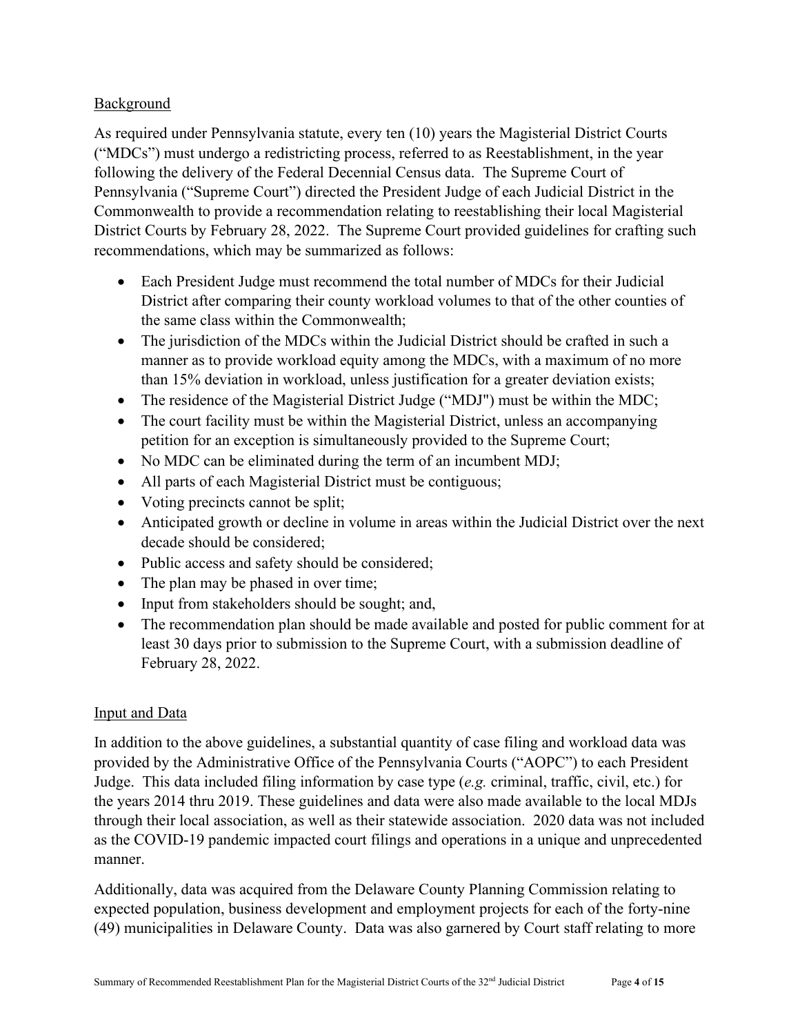### Background

As required under Pennsylvania statute, every ten (10) years the Magisterial District Courts ("MDCs") must undergo a redistricting process, referred to as Reestablishment, in the year following the delivery of the Federal Decennial Census data. The Supreme Court of Pennsylvania ("Supreme Court") directed the President Judge of each Judicial District in the Commonwealth to provide a recommendation relating to reestablishing their local Magisterial District Courts by February 28, 2022. The Supreme Court provided guidelines for crafting such recommendations, which may be summarized as follows:

- Each President Judge must recommend the total number of MDCs for their Judicial District after comparing their county workload volumes to that of the other counties of the same class within the Commonwealth;
- The jurisdiction of the MDCs within the Judicial District should be crafted in such a manner as to provide workload equity among the MDCs, with a maximum of no more than 15% deviation in workload, unless justification for a greater deviation exists;
- The residence of the Magisterial District Judge ("MDJ") must be within the MDC;
- The court facility must be within the Magisterial District, unless an accompanying petition for an exception is simultaneously provided to the Supreme Court;
- No MDC can be eliminated during the term of an incumbent MDJ;
- All parts of each Magisterial District must be contiguous;
- Voting precincts cannot be split;
- Anticipated growth or decline in volume in areas within the Judicial District over the next decade should be considered;
- Public access and safety should be considered;
- The plan may be phased in over time;
- Input from stakeholders should be sought; and,
- The recommendation plan should be made available and posted for public comment for at least 30 days prior to submission to the Supreme Court, with a submission deadline of February 28, 2022.

### Input and Data

In addition to the above guidelines, a substantial quantity of case filing and workload data was provided by the Administrative Office of the Pennsylvania Courts ("AOPC") to each President Judge. This data included filing information by case type (*e.g.* criminal, traffic, civil, etc.) for the years 2014 thru 2019. These guidelines and data were also made available to the local MDJs through their local association, as well as their statewide association. 2020 data was not included as the COVID-19 pandemic impacted court filings and operations in a unique and unprecedented manner.

Additionally, data was acquired from the Delaware County Planning Commission relating to expected population, business development and employment projects for each of the forty-nine (49) municipalities in Delaware County. Data was also garnered by Court staff relating to more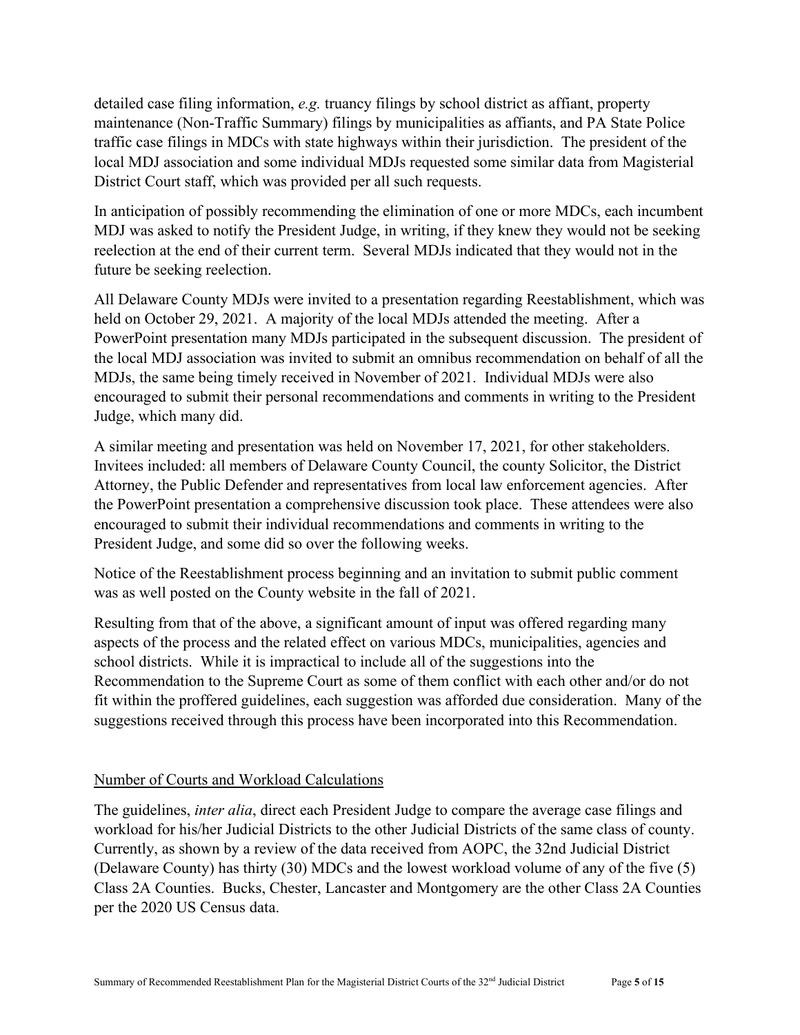detailed case filing information, *e.g.* truancy filings by school district as affiant, property maintenance (Non-Traffic Summary) filings by municipalities as affiants, and PA State Police traffic case filings in MDCs with state highways within their jurisdiction. The president of the local MDJ association and some individual MDJs requested some similar data from Magisterial District Court staff, which was provided per all such requests.

In anticipation of possibly recommending the elimination of one or more MDCs, each incumbent MDJ was asked to notify the President Judge, in writing, if they knew they would not be seeking reelection at the end of their current term. Several MDJs indicated that they would not in the future be seeking reelection.

All Delaware County MDJs were invited to a presentation regarding Reestablishment, which was held on October 29, 2021. A majority of the local MDJs attended the meeting. After a PowerPoint presentation many MDJs participated in the subsequent discussion. The president of the local MDJ association was invited to submit an omnibus recommendation on behalf of all the MDJs, the same being timely received in November of 2021. Individual MDJs were also encouraged to submit their personal recommendations and comments in writing to the President Judge, which many did.

A similar meeting and presentation was held on November 17, 2021, for other stakeholders. Invitees included: all members of Delaware County Council, the county Solicitor, the District Attorney, the Public Defender and representatives from local law enforcement agencies. After the PowerPoint presentation a comprehensive discussion took place. These attendees were also encouraged to submit their individual recommendations and comments in writing to the President Judge, and some did so over the following weeks.

Notice of the Reestablishment process beginning and an invitation to submit public comment was as well posted on the County website in the fall of 2021.

Resulting from that of the above, a significant amount of input was offered regarding many aspects of the process and the related effect on various MDCs, municipalities, agencies and school districts. While it is impractical to include all of the suggestions into the Recommendation to the Supreme Court as some of them conflict with each other and/or do not fit within the proffered guidelines, each suggestion was afforded due consideration. Many of the suggestions received through this process have been incorporated into this Recommendation.

### Number of Courts and Workload Calculations

The guidelines, *inter alia*, direct each President Judge to compare the average case filings and workload for his/her Judicial Districts to the other Judicial Districts of the same class of county. Currently, as shown by a review of the data received from AOPC, the 32nd Judicial District (Delaware County) has thirty (30) MDCs and the lowest workload volume of any of the five (5) Class 2A Counties. Bucks, Chester, Lancaster and Montgomery are the other Class 2A Counties per the 2020 US Census data.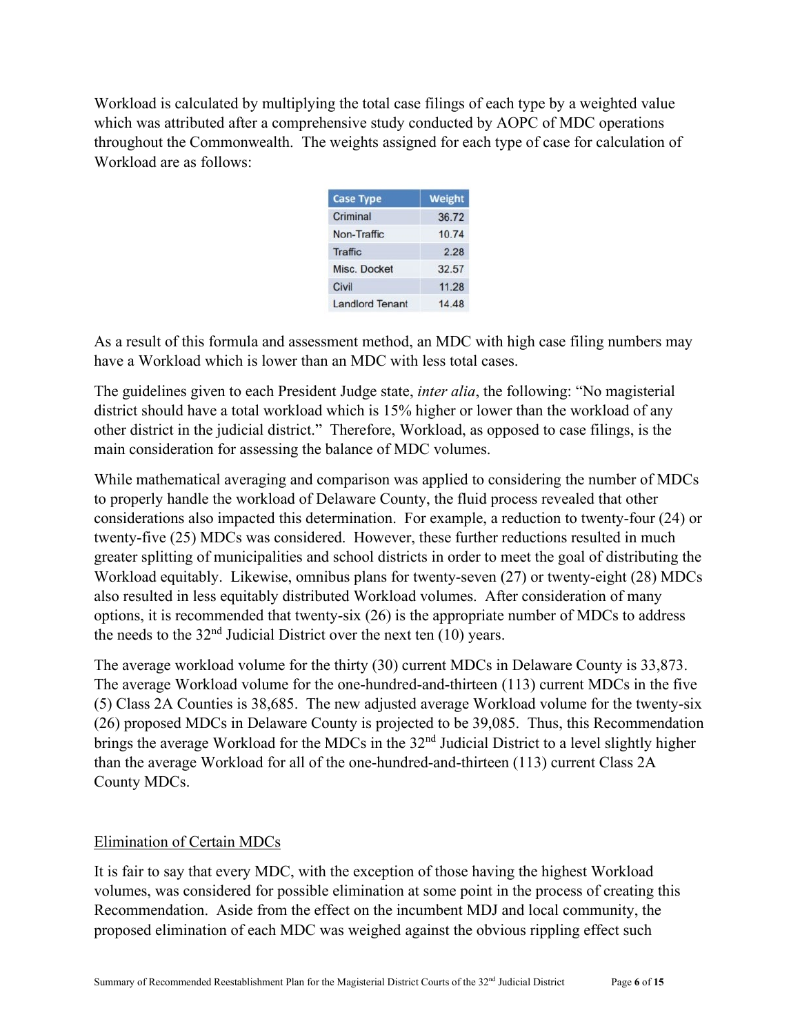Workload is calculated by multiplying the total case filings of each type by a weighted value which was attributed after a comprehensive study conducted by AOPC of MDC operations throughout the Commonwealth. The weights assigned for each type of case for calculation of Workload are as follows:

| <b>Case Type</b>       | Weight |
|------------------------|--------|
| Criminal               | 36.72  |
| Non-Traffic            | 10.74  |
| <b>Traffic</b>         | 2.28   |
| Misc. Docket           | 32.57  |
| Civil                  | 11.28  |
| <b>Landlord Tenant</b> | 14 48  |

As a result of this formula and assessment method, an MDC with high case filing numbers may have a Workload which is lower than an MDC with less total cases.

The guidelines given to each President Judge state, *inter alia*, the following: "No magisterial district should have a total workload which is 15% higher or lower than the workload of any other district in the judicial district." Therefore, Workload, as opposed to case filings, is the main consideration for assessing the balance of MDC volumes.

While mathematical averaging and comparison was applied to considering the number of MDCs to properly handle the workload of Delaware County, the fluid process revealed that other considerations also impacted this determination. For example, a reduction to twenty-four (24) or twenty-five (25) MDCs was considered. However, these further reductions resulted in much greater splitting of municipalities and school districts in order to meet the goal of distributing the Workload equitably. Likewise, omnibus plans for twenty-seven (27) or twenty-eight (28) MDCs also resulted in less equitably distributed Workload volumes. After consideration of many options, it is recommended that twenty-six (26) is the appropriate number of MDCs to address the needs to the  $32<sup>nd</sup>$  Judicial District over the next ten (10) years.

The average workload volume for the thirty (30) current MDCs in Delaware County is 33,873. The average Workload volume for the one-hundred-and-thirteen (113) current MDCs in the five (5) Class 2A Counties is 38,685. The new adjusted average Workload volume for the twenty-six (26) proposed MDCs in Delaware County is projected to be 39,085. Thus, this Recommendation brings the average Workload for the MDCs in the 32<sup>nd</sup> Judicial District to a level slightly higher than the average Workload for all of the one-hundred-and-thirteen (113) current Class 2A County MDCs.

### Elimination of Certain MDCs

It is fair to say that every MDC, with the exception of those having the highest Workload volumes, was considered for possible elimination at some point in the process of creating this Recommendation. Aside from the effect on the incumbent MDJ and local community, the proposed elimination of each MDC was weighed against the obvious rippling effect such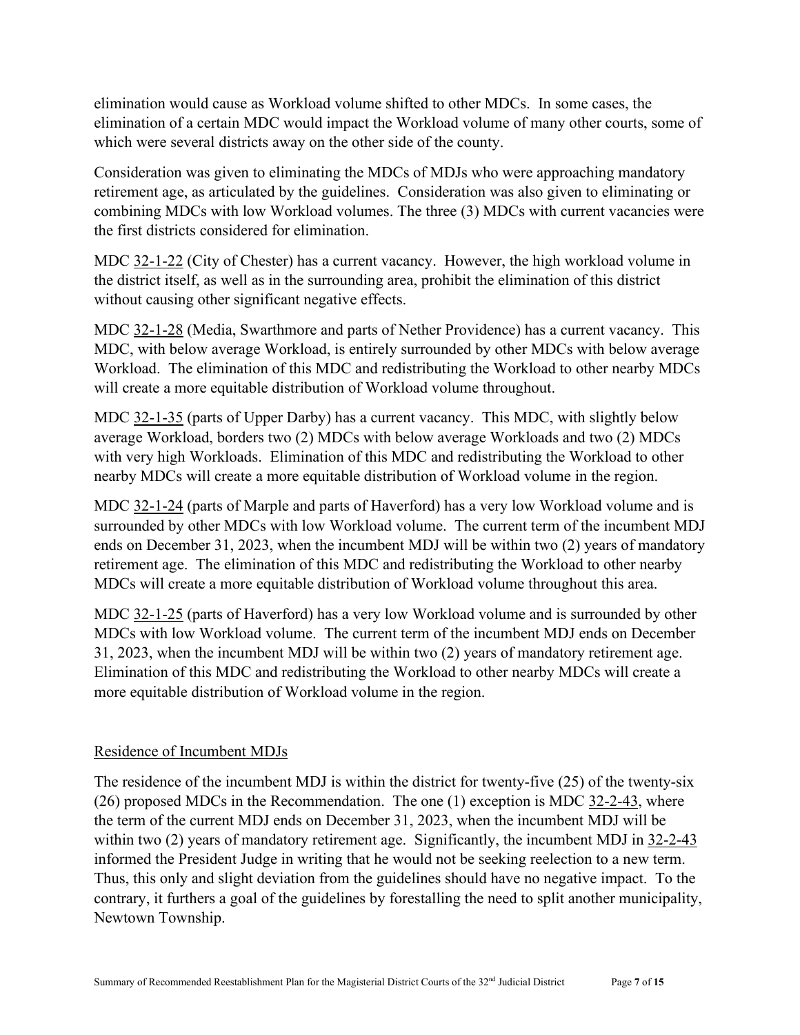elimination would cause as Workload volume shifted to other MDCs. In some cases, the elimination of a certain MDC would impact the Workload volume of many other courts, some of which were several districts away on the other side of the county.

Consideration was given to eliminating the MDCs of MDJs who were approaching mandatory retirement age, as articulated by the guidelines. Consideration was also given to eliminating or combining MDCs with low Workload volumes. The three (3) MDCs with current vacancies were the first districts considered for elimination.

MDC 32-1-22 (City of Chester) has a current vacancy. However, the high workload volume in the district itself, as well as in the surrounding area, prohibit the elimination of this district without causing other significant negative effects.

MDC 32-1-28 (Media, Swarthmore and parts of Nether Providence) has a current vacancy. This MDC, with below average Workload, is entirely surrounded by other MDCs with below average Workload. The elimination of this MDC and redistributing the Workload to other nearby MDCs will create a more equitable distribution of Workload volume throughout.

MDC 32-1-35 (parts of Upper Darby) has a current vacancy. This MDC, with slightly below average Workload, borders two (2) MDCs with below average Workloads and two (2) MDCs with very high Workloads. Elimination of this MDC and redistributing the Workload to other nearby MDCs will create a more equitable distribution of Workload volume in the region.

MDC 32-1-24 (parts of Marple and parts of Haverford) has a very low Workload volume and is surrounded by other MDCs with low Workload volume. The current term of the incumbent MDJ ends on December 31, 2023, when the incumbent MDJ will be within two (2) years of mandatory retirement age. The elimination of this MDC and redistributing the Workload to other nearby MDCs will create a more equitable distribution of Workload volume throughout this area.

MDC 32-1-25 (parts of Haverford) has a very low Workload volume and is surrounded by other MDCs with low Workload volume. The current term of the incumbent MDJ ends on December 31, 2023, when the incumbent MDJ will be within two (2) years of mandatory retirement age. Elimination of this MDC and redistributing the Workload to other nearby MDCs will create a more equitable distribution of Workload volume in the region.

### Residence of Incumbent MDJs

The residence of the incumbent MDJ is within the district for twenty-five (25) of the twenty-six (26) proposed MDCs in the Recommendation. The one (1) exception is MDC 32-2-43, where the term of the current MDJ ends on December 31, 2023, when the incumbent MDJ will be within two (2) years of mandatory retirement age. Significantly, the incumbent MDJ in  $32-2-43$ informed the President Judge in writing that he would not be seeking reelection to a new term. Thus, this only and slight deviation from the guidelines should have no negative impact. To the contrary, it furthers a goal of the guidelines by forestalling the need to split another municipality, Newtown Township.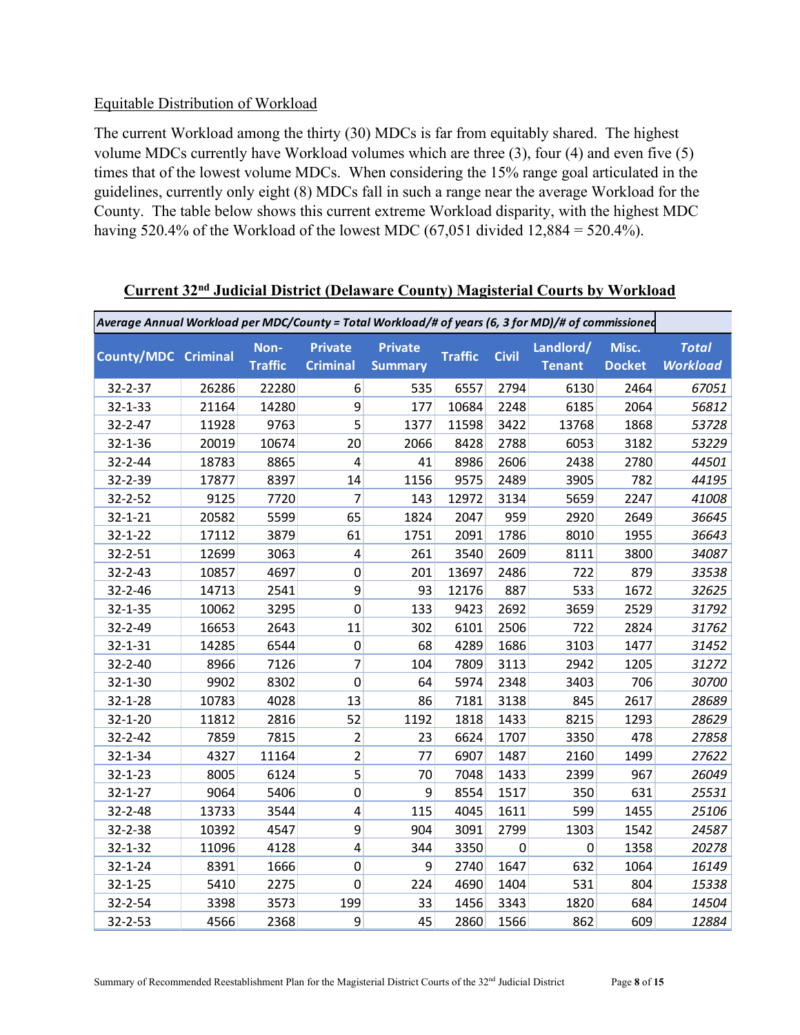#### Equitable Distribution of Workload

The current Workload among the thirty (30) MDCs is far from equitably shared. The highest volume MDCs currently have Workload volumes which are three (3), four (4) and even five (5) times that of the lowest volume MDCs. When considering the 15% range goal articulated in the guidelines, currently only eight (8) MDCs fall in such a range near the average Workload for the County. The table below shows this current extreme Workload disparity, with the highest MDC having 520.4% of the Workload of the lowest MDC (67,051 divided 12,884 = 520.4%).

| Average Annual Workload per MDC/County = Total Workload/# of years (6, 3 for MD)/# of commissioned |       |                        |                                   |                                  |                |              |                            |                        |                                 |
|----------------------------------------------------------------------------------------------------|-------|------------------------|-----------------------------------|----------------------------------|----------------|--------------|----------------------------|------------------------|---------------------------------|
| <b>County/MDC Criminal</b>                                                                         |       | Non-<br><b>Traffic</b> | <b>Private</b><br><b>Criminal</b> | <b>Private</b><br><b>Summary</b> | <b>Traffic</b> | <b>Civil</b> | Landlord/<br><b>Tenant</b> | Misc.<br><b>Docket</b> | <b>Total</b><br><b>Workload</b> |
| 32-2-37                                                                                            | 26286 | 22280                  | 6                                 | 535                              | 6557           | 2794         | 6130                       | 2464                   | 67051                           |
| $32 - 1 - 33$                                                                                      | 21164 | 14280                  | 9                                 | 177                              | 10684          | 2248         | 6185                       | 2064                   | 56812                           |
| $32 - 2 - 47$                                                                                      | 11928 | 9763                   | 5                                 | 1377                             | 11598          | 3422         | 13768                      | 1868                   | 53728                           |
| 32-1-36                                                                                            | 20019 | 10674                  | 20                                | 2066                             | 8428           | 2788         | 6053                       | 3182                   | 53229                           |
| 32-2-44                                                                                            | 18783 | 8865                   | $\overline{4}$                    | 41                               | 8986           | 2606         | 2438                       | 2780                   | 44501                           |
| 32-2-39                                                                                            | 17877 | 8397                   | 14                                | 1156                             | 9575           | 2489         | 3905                       | 782                    | 44195                           |
| 32-2-52                                                                                            | 9125  | 7720                   | 7                                 | 143                              | 12972          | 3134         | 5659                       | 2247                   | 41008                           |
| $32 - 1 - 21$                                                                                      | 20582 | 5599                   | 65                                | 1824                             | 2047           | 959          | 2920                       | 2649                   | 36645                           |
| $32 - 1 - 22$                                                                                      | 17112 | 3879                   | 61                                | 1751                             | 2091           | 1786         | 8010                       | 1955                   | 36643                           |
| 32-2-51                                                                                            | 12699 | 3063                   | 4                                 | 261                              | 3540           | 2609         | 8111                       | 3800                   | 34087                           |
| $32 - 2 - 43$                                                                                      | 10857 | 4697                   | $\pmb{0}$                         | 201                              | 13697          | 2486         | 722                        | 879                    | 33538                           |
| 32-2-46                                                                                            | 14713 | 2541                   | 9                                 | 93                               | 12176          | 887          | 533                        | 1672                   | 32625                           |
| $32 - 1 - 35$                                                                                      | 10062 | 3295                   | $\overline{0}$                    | 133                              | 9423           | 2692         | 3659                       | 2529                   | 31792                           |
| 32-2-49                                                                                            | 16653 | 2643                   | 11                                | 302                              | 6101           | 2506         | 722                        | 2824                   | 31762                           |
| 32-1-31                                                                                            | 14285 | 6544                   | 0                                 | 68                               | 4289           | 1686         | 3103                       | 1477                   | 31452                           |
| 32-2-40                                                                                            | 8966  | 7126                   | $\overline{7}$                    | 104                              | 7809           | 3113         | 2942                       | 1205                   | 31272                           |
| $32 - 1 - 30$                                                                                      | 9902  | 8302                   | $\mathbf 0$                       | 64                               | 5974           | 2348         | 3403                       | 706                    | 30700                           |
| $32 - 1 - 28$                                                                                      | 10783 | 4028                   | 13                                | 86                               | 7181           | 3138         | 845                        | 2617                   | 28689                           |
| $32 - 1 - 20$                                                                                      | 11812 | 2816                   | 52                                | 1192                             | 1818           | 1433         | 8215                       | 1293                   | 28629                           |
| $32 - 2 - 42$                                                                                      | 7859  | 7815                   | $\overline{2}$                    | 23                               | 6624           | 1707         | 3350                       | 478                    | 27858                           |
| 32-1-34                                                                                            | 4327  | 11164                  | $\overline{2}$                    | 77                               | 6907           | 1487         | 2160                       | 1499                   | 27622                           |
| $32 - 1 - 23$                                                                                      | 8005  | 6124                   | 5                                 | 70                               | 7048           | 1433         | 2399                       | 967                    | 26049                           |
| $32 - 1 - 27$                                                                                      | 9064  | 5406                   | 0                                 | 9                                | 8554           | 1517         | 350                        | 631                    | 25531                           |
| 32-2-48                                                                                            | 13733 | 3544                   | $\overline{4}$                    | 115                              | 4045           | 1611         | 599                        | 1455                   | 25106                           |
| 32-2-38                                                                                            | 10392 | 4547                   | 9                                 | 904                              | 3091           | 2799         | 1303                       | 1542                   | 24587                           |
| $32 - 1 - 32$                                                                                      | 11096 | 4128                   | $\overline{\mathbf{4}}$           | 344                              | 3350           | $\mathbf 0$  | $\pmb{0}$                  | 1358                   | 20278                           |
| $32 - 1 - 24$                                                                                      | 8391  | 1666                   | $\mathbf 0$                       | 9                                | 2740           | 1647         | 632                        | 1064                   | 16149                           |
| $32 - 1 - 25$                                                                                      | 5410  | 2275                   | $\mathbf 0$                       | 224                              | 4690           | 1404         | 531                        | 804                    | 15338                           |
| 32-2-54                                                                                            | 3398  | 3573                   | 199                               | 33                               | 1456           | 3343         | 1820                       | 684                    | 14504                           |
| 32-2-53                                                                                            | 4566  | 2368                   | 9                                 | 45                               | 2860           | 1566         | 862                        | 609                    | 12884                           |

# **Current 32nd Judicial District (Delaware County) Magisterial Courts by Workload**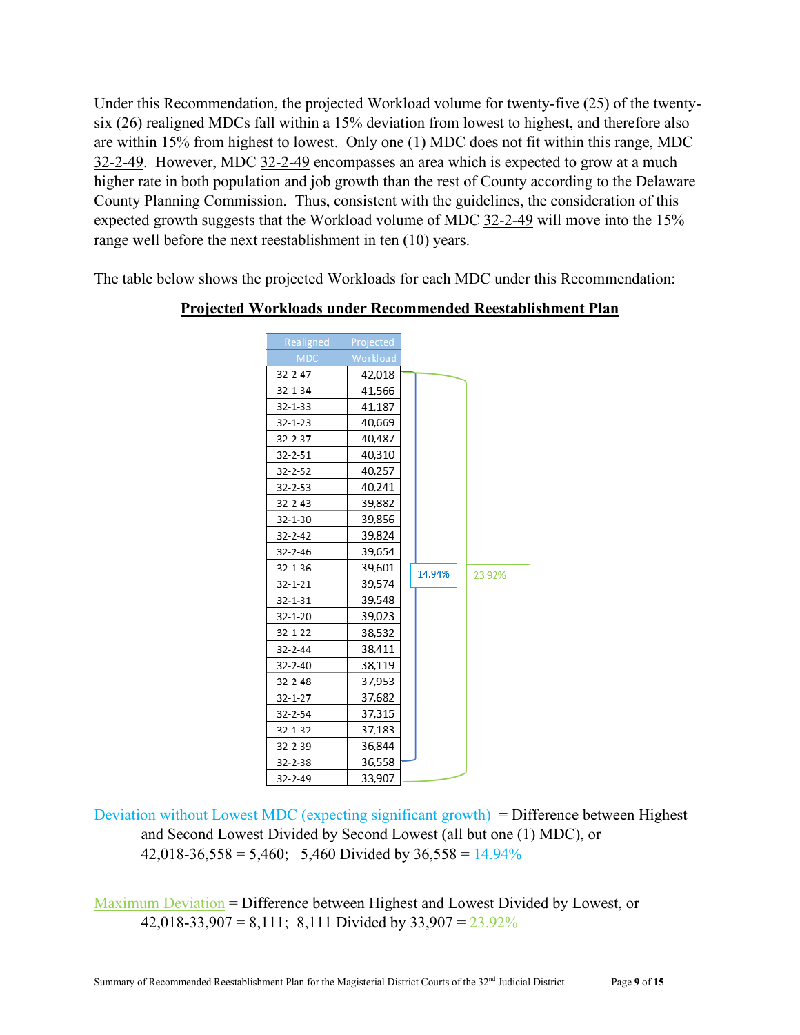Under this Recommendation, the projected Workload volume for twenty-five (25) of the twentysix (26) realigned MDCs fall within a 15% deviation from lowest to highest, and therefore also are within 15% from highest to lowest. Only one (1) MDC does not fit within this range, MDC 32-2-49. However, MDC 32-2-49 encompasses an area which is expected to grow at a much higher rate in both population and job growth than the rest of County according to the Delaware County Planning Commission. Thus, consistent with the guidelines, the consideration of this expected growth suggests that the Workload volume of MDC 32-2-49 will move into the 15% range well before the next reestablishment in ten (10) years.

The table below shows the projected Workloads for each MDC under this Recommendation:

| Realigned     | Projected |        |        |
|---------------|-----------|--------|--------|
| MDC.          | Workload  |        |        |
| $32 - 2 - 47$ | 42,018    |        |        |
| $32 - 1 - 34$ | 41,566    |        |        |
| $32 - 1 - 33$ | 41,187    |        |        |
| $32 - 1 - 23$ | 40,669    |        |        |
| $32 - 2 - 37$ | 40,487    |        |        |
| 32-2-51       | 40,310    |        |        |
| $32 - 2 - 52$ | 40,257    |        |        |
| $32 - 2 - 53$ | 40,241    |        |        |
| $32 - 2 - 43$ | 39,882    |        |        |
| $32 - 1 - 30$ | 39,856    |        |        |
| $32 - 2 - 42$ | 39,824    |        |        |
| $32 - 2 - 46$ | 39,654    |        |        |
| $32 - 1 - 36$ | 39,601    | 14.94% | 23.92% |
| $32 - 1 - 21$ | 39,574    |        |        |
| 32-1-31       | 39,548    |        |        |
| $32 - 1 - 20$ | 39,023    |        |        |
| $32 - 1 - 22$ | 38,532    |        |        |
| $32 - 2 - 44$ | 38,411    |        |        |
| $32 - 2 - 40$ | 38,119    |        |        |
| $32 - 2 - 48$ | 37,953    |        |        |
| $32 - 1 - 27$ | 37,682    |        |        |
| $32 - 2 - 54$ | 37,315    |        |        |
| $32 - 1 - 32$ | 37,183    |        |        |
| 32-2-39       | 36,844    |        |        |
| $32 - 2 - 38$ | 36,558    |        |        |
| 32-2-49       | 33,907    |        |        |

#### **Projected Workloads under Recommended Reestablishment Plan**

Deviation without Lowest MDC (expecting significant growth)  $=$  Difference between Highest and Second Lowest Divided by Second Lowest (all but one (1) MDC), or  $42,018-36,558 = 5,460$ ; 5,460 Divided by  $36,558 = 14.94\%$ 

Maximum Deviation = Difference between Highest and Lowest Divided by Lowest, or 42,018-33,907 = 8,111; 8,111 Divided by  $33,907 = 23.92\%$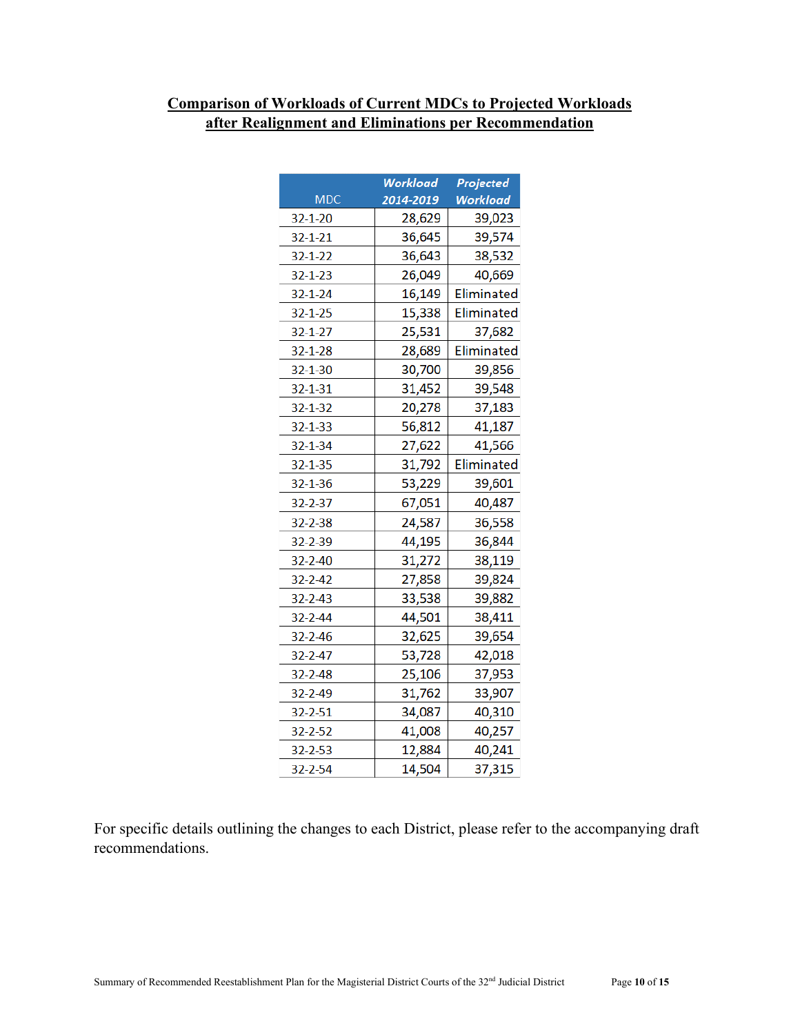# **Comparison of Workloads of Current MDCs to Projected Workloads after Realignment and Eliminations per Recommendation**

|               | Workload  | Projected         |
|---------------|-----------|-------------------|
| <b>MDC</b>    | 2014-2019 | <b>Workload</b>   |
| $32 - 1 - 20$ | 28,629    | 39,023            |
| $32 - 1 - 21$ | 36,645    | 39,574            |
| $32 - 1 - 22$ | 36,643    | 38,532            |
| $32 - 1 - 23$ | 26,049    | 40,669            |
| $32 - 1 - 24$ | 16,149    | Eliminated        |
| $32 - 1 - 25$ | 15,338    | <b>Eliminated</b> |
| $32 - 1 - 27$ | 25,531    | 37,682            |
| $32 - 1 - 28$ | 28,689    | Eliminated        |
| 32-1-30       | 30,700    | 39,856            |
| $32 - 1 - 31$ | 31,452    | 39,548            |
| $32 - 1 - 32$ | 20,278    | 37,183            |
| $32 - 1 - 33$ | 56,812    | 41,187            |
| $32 - 1 - 34$ | 27,622    | 41,566            |
| $32 - 1 - 35$ | 31,792    | Eliminated        |
| 32-1-36       | 53,229    | 39,601            |
| $32 - 2 - 37$ | 67,051    | 40,487            |
| $32 - 2 - 38$ | 24,587    | 36,558            |
| 32-2-39       | 44,195    | 36,844            |
| $32 - 2 - 40$ | 31,272    | 38,119            |
| $32 - 2 - 42$ | 27,858    | 39,824            |
| $32 - 2 - 43$ | 33,538    | 39,882            |
| $32 - 2 - 44$ | 44,501    | 38,411            |
| $32 - 2 - 46$ | 32,625    | 39,654            |
| $32 - 2 - 47$ | 53,728    | 42,018            |
| $32 - 2 - 48$ | 25,106    | 37,953            |
| $32 - 2 - 49$ | 31,762    | 33,907            |
| 32-2-51       | 34,087    | 40,310            |
| 32-2-52       | 41,008    | 40,257            |
| 32-2-53       | 12,884    | 40,241            |
| 32-2-54       | 14,504    | 37,315            |

For specific details outlining the changes to each District, please refer to the accompanying draft recommendations.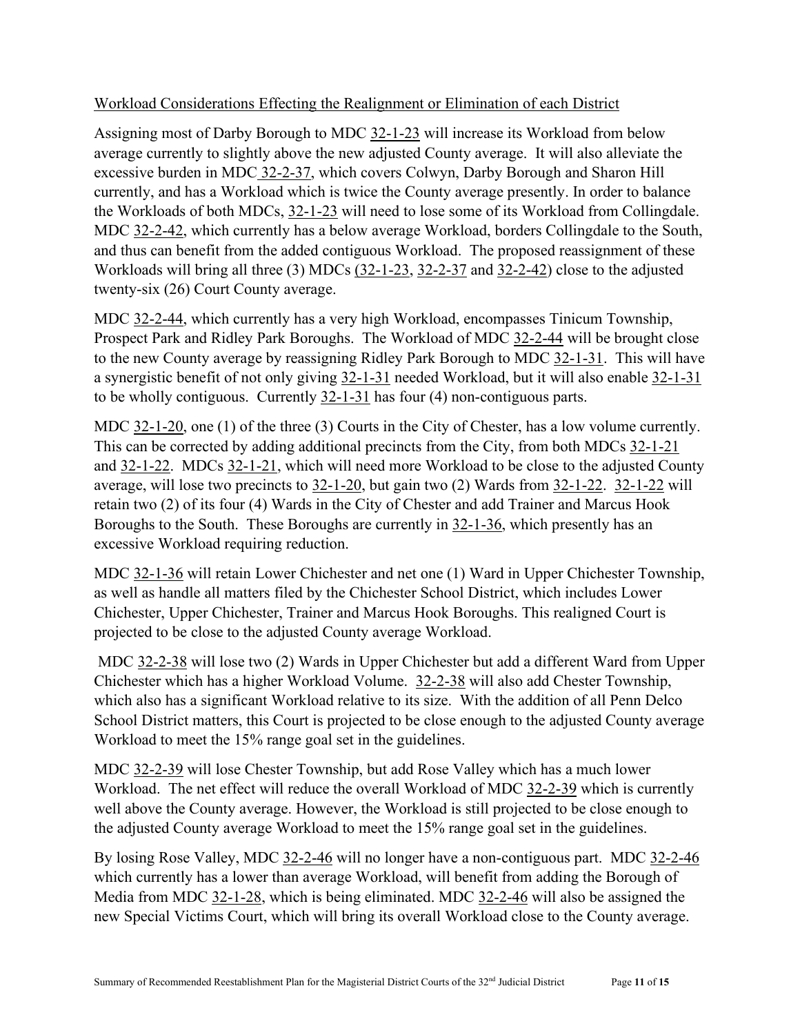### Workload Considerations Effecting the Realignment or Elimination of each District

Assigning most of Darby Borough to MDC 32-1-23 will increase its Workload from below average currently to slightly above the new adjusted County average. It will also alleviate the excessive burden in MDC 32-2-37, which covers Colwyn, Darby Borough and Sharon Hill currently, and has a Workload which is twice the County average presently. In order to balance the Workloads of both MDCs, 32-1-23 will need to lose some of its Workload from Collingdale. MDC 32-2-42, which currently has a below average Workload, borders Collingdale to the South, and thus can benefit from the added contiguous Workload. The proposed reassignment of these Workloads will bring all three (3) MDCs (32-1-23, 32-2-37 and 32-2-42) close to the adjusted twenty-six (26) Court County average.

MDC 32-2-44, which currently has a very high Workload, encompasses Tinicum Township, Prospect Park and Ridley Park Boroughs. The Workload of MDC 32-2-44 will be brought close to the new County average by reassigning Ridley Park Borough to MDC 32-1-31. This will have a synergistic benefit of not only giving 32-1-31 needed Workload, but it will also enable 32-1-31 to be wholly contiguous. Currently 32-1-31 has four (4) non-contiguous parts.

MDC 32-1-20, one (1) of the three (3) Courts in the City of Chester, has a low volume currently. This can be corrected by adding additional precincts from the City, from both MDCs 32-1-21 and 32-1-22. MDCs 32-1-21, which will need more Workload to be close to the adjusted County average, will lose two precincts to 32-1-20, but gain two (2) Wards from 32-1-22. 32-1-22 will retain two (2) of its four (4) Wards in the City of Chester and add Trainer and Marcus Hook Boroughs to the South. These Boroughs are currently in 32-1-36, which presently has an excessive Workload requiring reduction.

MDC 32-1-36 will retain Lower Chichester and net one (1) Ward in Upper Chichester Township, as well as handle all matters filed by the Chichester School District, which includes Lower Chichester, Upper Chichester, Trainer and Marcus Hook Boroughs. This realigned Court is projected to be close to the adjusted County average Workload.

MDC 32-2-38 will lose two (2) Wards in Upper Chichester but add a different Ward from Upper Chichester which has a higher Workload Volume. 32-2-38 will also add Chester Township, which also has a significant Workload relative to its size. With the addition of all Penn Delco School District matters, this Court is projected to be close enough to the adjusted County average Workload to meet the 15% range goal set in the guidelines.

MDC 32-2-39 will lose Chester Township, but add Rose Valley which has a much lower Workload. The net effect will reduce the overall Workload of MDC 32-2-39 which is currently well above the County average. However, the Workload is still projected to be close enough to the adjusted County average Workload to meet the 15% range goal set in the guidelines.

By losing Rose Valley, MDC 32-2-46 will no longer have a non-contiguous part. MDC 32-2-46 which currently has a lower than average Workload, will benefit from adding the Borough of Media from MDC 32-1-28, which is being eliminated. MDC 32-2-46 will also be assigned the new Special Victims Court, which will bring its overall Workload close to the County average.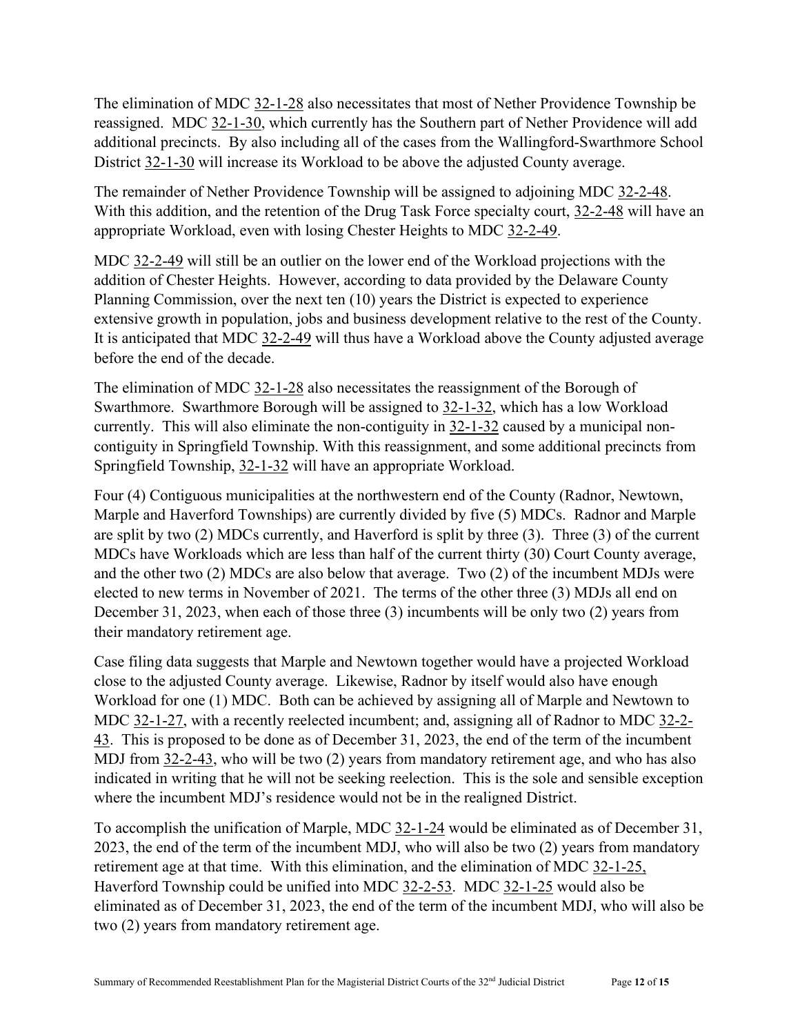The elimination of MDC 32-1-28 also necessitates that most of Nether Providence Township be reassigned. MDC 32-1-30, which currently has the Southern part of Nether Providence will add additional precincts. By also including all of the cases from the Wallingford-Swarthmore School District 32-1-30 will increase its Workload to be above the adjusted County average.

The remainder of Nether Providence Township will be assigned to adjoining MDC 32-2-48. With this addition, and the retention of the Drug Task Force specialty court, 32-2-48 will have an appropriate Workload, even with losing Chester Heights to MDC 32-2-49.

MDC 32-2-49 will still be an outlier on the lower end of the Workload projections with the addition of Chester Heights. However, according to data provided by the Delaware County Planning Commission, over the next ten (10) years the District is expected to experience extensive growth in population, jobs and business development relative to the rest of the County. It is anticipated that MDC 32-2-49 will thus have a Workload above the County adjusted average before the end of the decade.

The elimination of MDC 32-1-28 also necessitates the reassignment of the Borough of Swarthmore. Swarthmore Borough will be assigned to 32-1-32, which has a low Workload currently. This will also eliminate the non-contiguity in 32-1-32 caused by a municipal noncontiguity in Springfield Township. With this reassignment, and some additional precincts from Springfield Township, 32-1-32 will have an appropriate Workload.

Four (4) Contiguous municipalities at the northwestern end of the County (Radnor, Newtown, Marple and Haverford Townships) are currently divided by five (5) MDCs. Radnor and Marple are split by two (2) MDCs currently, and Haverford is split by three (3). Three (3) of the current MDCs have Workloads which are less than half of the current thirty (30) Court County average, and the other two (2) MDCs are also below that average. Two (2) of the incumbent MDJs were elected to new terms in November of 2021. The terms of the other three (3) MDJs all end on December 31, 2023, when each of those three (3) incumbents will be only two (2) years from their mandatory retirement age.

Case filing data suggests that Marple and Newtown together would have a projected Workload close to the adjusted County average. Likewise, Radnor by itself would also have enough Workload for one (1) MDC. Both can be achieved by assigning all of Marple and Newtown to MDC 32-1-27, with a recently reelected incumbent; and, assigning all of Radnor to MDC 32-2- 43. This is proposed to be done as of December 31, 2023, the end of the term of the incumbent MDJ from 32-2-43, who will be two (2) years from mandatory retirement age, and who has also indicated in writing that he will not be seeking reelection. This is the sole and sensible exception where the incumbent MDJ's residence would not be in the realigned District.

To accomplish the unification of Marple, MDC 32-1-24 would be eliminated as of December 31, 2023, the end of the term of the incumbent MDJ, who will also be two (2) years from mandatory retirement age at that time. With this elimination, and the elimination of MDC 32-1-25, Haverford Township could be unified into MDC 32-2-53. MDC 32-1-25 would also be eliminated as of December 31, 2023, the end of the term of the incumbent MDJ, who will also be two (2) years from mandatory retirement age.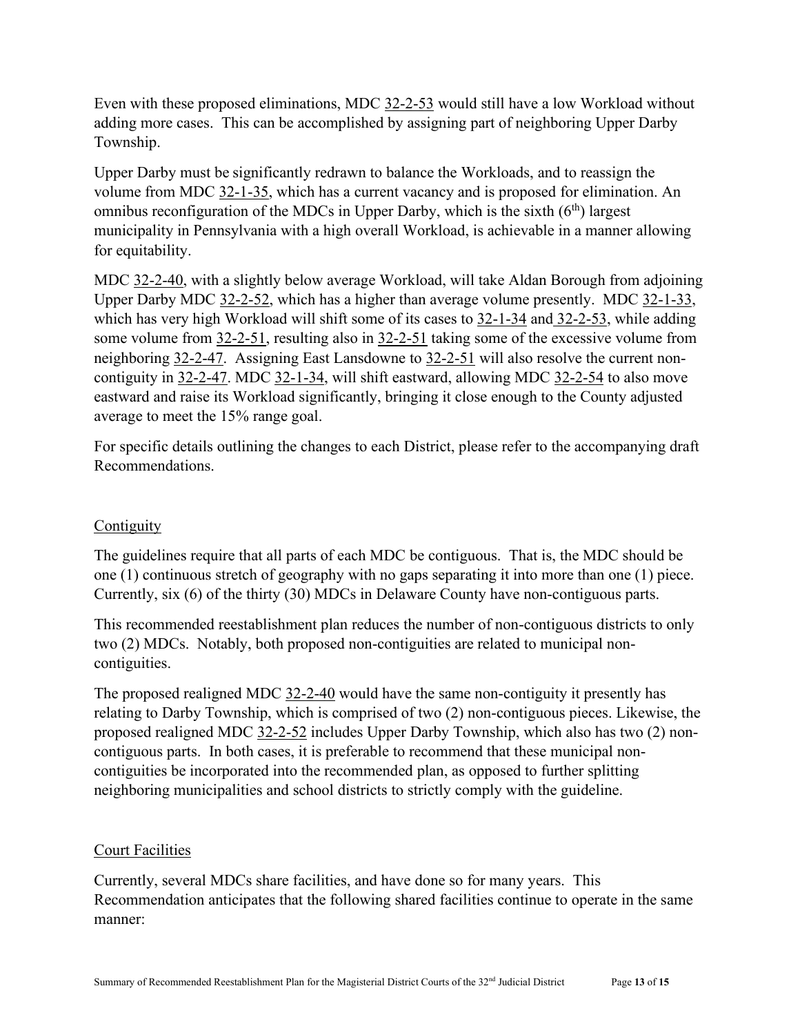Even with these proposed eliminations, MDC 32-2-53 would still have a low Workload without adding more cases. This can be accomplished by assigning part of neighboring Upper Darby Township.

Upper Darby must be significantly redrawn to balance the Workloads, and to reassign the volume from MDC 32-1-35, which has a current vacancy and is proposed for elimination. An omnibus reconfiguration of the MDCs in Upper Darby, which is the sixth  $(6<sup>th</sup>)$  largest municipality in Pennsylvania with a high overall Workload, is achievable in a manner allowing for equitability.

MDC 32-2-40, with a slightly below average Workload, will take Aldan Borough from adjoining Upper Darby MDC 32-2-52, which has a higher than average volume presently. MDC 32-1-33, which has very high Workload will shift some of its cases to 32-1-34 and 32-2-53, while adding some volume from 32-2-51, resulting also in 32-2-51 taking some of the excessive volume from neighboring 32-2-47. Assigning East Lansdowne to 32-2-51 will also resolve the current noncontiguity in 32-2-47. MDC 32-1-34, will shift eastward, allowing MDC 32-2-54 to also move eastward and raise its Workload significantly, bringing it close enough to the County adjusted average to meet the 15% range goal.

For specific details outlining the changes to each District, please refer to the accompanying draft Recommendations.

### **Contiguity**

The guidelines require that all parts of each MDC be contiguous. That is, the MDC should be one (1) continuous stretch of geography with no gaps separating it into more than one (1) piece. Currently, six (6) of the thirty (30) MDCs in Delaware County have non-contiguous parts.

This recommended reestablishment plan reduces the number of non-contiguous districts to only two (2) MDCs. Notably, both proposed non-contiguities are related to municipal noncontiguities.

The proposed realigned MDC 32-2-40 would have the same non-contiguity it presently has relating to Darby Township, which is comprised of two (2) non-contiguous pieces. Likewise, the proposed realigned MDC 32-2-52 includes Upper Darby Township, which also has two (2) noncontiguous parts. In both cases, it is preferable to recommend that these municipal noncontiguities be incorporated into the recommended plan, as opposed to further splitting neighboring municipalities and school districts to strictly comply with the guideline.

### Court Facilities

Currently, several MDCs share facilities, and have done so for many years. This Recommendation anticipates that the following shared facilities continue to operate in the same manner: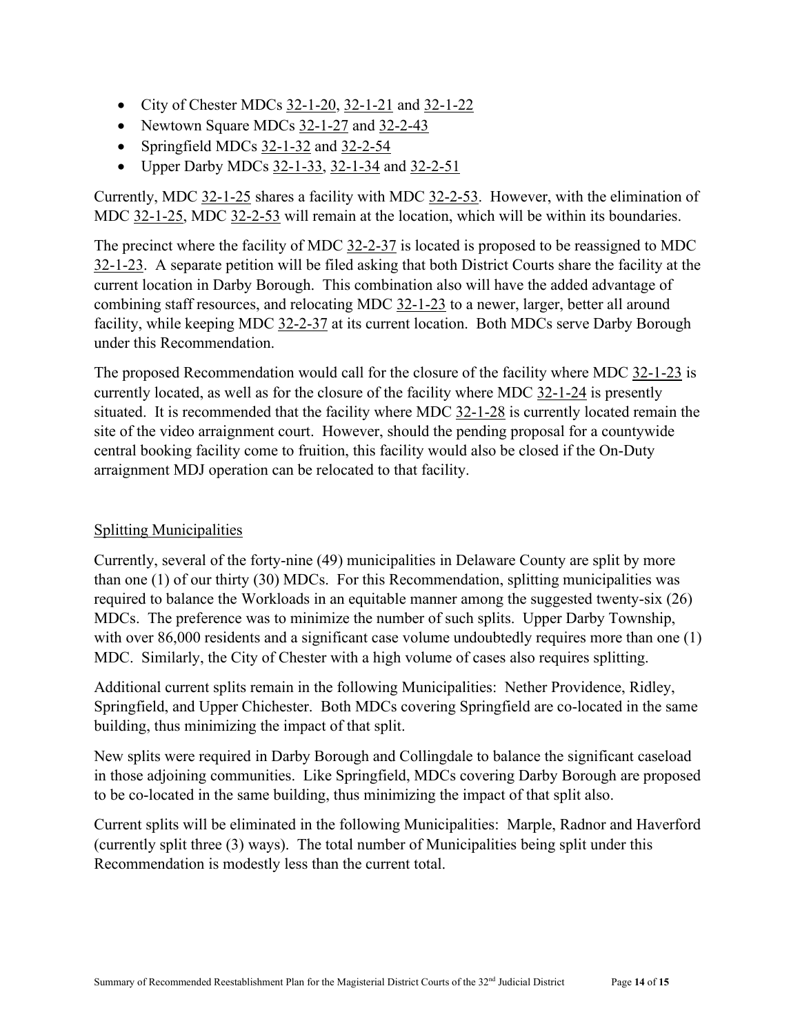- City of Chester MDCs 32-1-20, 32-1-21 and 32-1-22
- Newtown Square MDCs 32-1-27 and 32-2-43
- Springfield MDCs 32-1-32 and 32-2-54
- Upper Darby MDCs 32-1-33, 32-1-34 and 32-2-51

Currently, MDC 32-1-25 shares a facility with MDC 32-2-53. However, with the elimination of MDC 32-1-25, MDC 32-2-53 will remain at the location, which will be within its boundaries.

The precinct where the facility of MDC 32-2-37 is located is proposed to be reassigned to MDC 32-1-23. A separate petition will be filed asking that both District Courts share the facility at the current location in Darby Borough. This combination also will have the added advantage of combining staff resources, and relocating MDC 32-1-23 to a newer, larger, better all around facility, while keeping MDC 32-2-37 at its current location. Both MDCs serve Darby Borough under this Recommendation.

The proposed Recommendation would call for the closure of the facility where MDC 32-1-23 is currently located, as well as for the closure of the facility where MDC 32-1-24 is presently situated. It is recommended that the facility where MDC  $32$ -1-28 is currently located remain the site of the video arraignment court. However, should the pending proposal for a countywide central booking facility come to fruition, this facility would also be closed if the On-Duty arraignment MDJ operation can be relocated to that facility.

### Splitting Municipalities

Currently, several of the forty-nine (49) municipalities in Delaware County are split by more than one (1) of our thirty (30) MDCs. For this Recommendation, splitting municipalities was required to balance the Workloads in an equitable manner among the suggested twenty-six (26) MDCs. The preference was to minimize the number of such splits. Upper Darby Township, with over 86,000 residents and a significant case volume undoubtedly requires more than one (1) MDC. Similarly, the City of Chester with a high volume of cases also requires splitting.

Additional current splits remain in the following Municipalities: Nether Providence, Ridley, Springfield, and Upper Chichester. Both MDCs covering Springfield are co-located in the same building, thus minimizing the impact of that split.

New splits were required in Darby Borough and Collingdale to balance the significant caseload in those adjoining communities. Like Springfield, MDCs covering Darby Borough are proposed to be co-located in the same building, thus minimizing the impact of that split also.

Current splits will be eliminated in the following Municipalities: Marple, Radnor and Haverford (currently split three (3) ways). The total number of Municipalities being split under this Recommendation is modestly less than the current total.